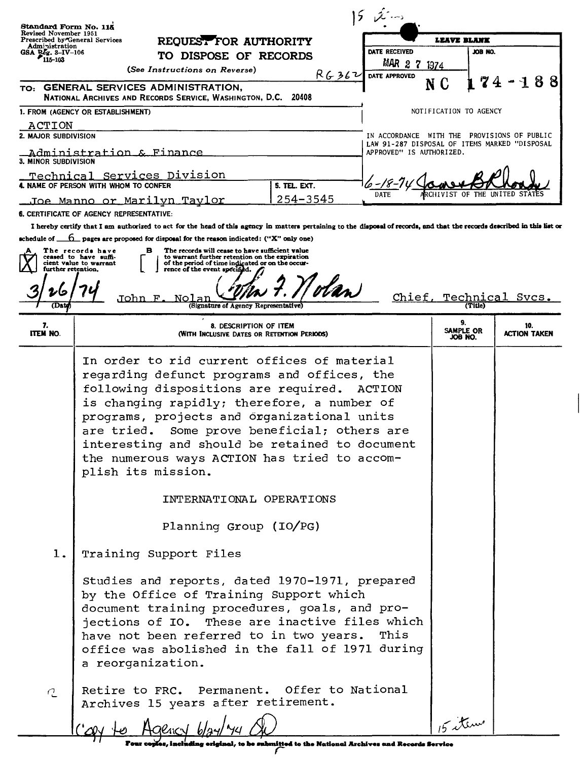|                                                                                                           | $52 - 5$                                                                                                                                                                                                                                                                                                                                                                                                                                                                 |                                                                           |                      |                            |
|-----------------------------------------------------------------------------------------------------------|--------------------------------------------------------------------------------------------------------------------------------------------------------------------------------------------------------------------------------------------------------------------------------------------------------------------------------------------------------------------------------------------------------------------------------------------------------------------------|---------------------------------------------------------------------------|----------------------|----------------------------|
| Standard Form No. 115<br>Revised November 1951<br>Prescribed by General Services<br>REQUEST FOR AUTHORITY |                                                                                                                                                                                                                                                                                                                                                                                                                                                                          | LEAVE BLANK                                                               |                      |                            |
| Administration<br>GSA $\sum_{115-103}^{56}$                                                               | TO DISPOSE OF RECORDS                                                                                                                                                                                                                                                                                                                                                                                                                                                    | DATE RECEIVED                                                             | JOB NO.              |                            |
|                                                                                                           | (See Instructions on Reverse)                                                                                                                                                                                                                                                                                                                                                                                                                                            | MAR 2<br>1374                                                             |                      |                            |
|                                                                                                           | R6362<br>TO: GENERAL SERVICES ADMINISTRATION,                                                                                                                                                                                                                                                                                                                                                                                                                            | DATE APPROVED<br>N C                                                      |                      | 88                         |
|                                                                                                           | NATIONAL ARCHIVES AND RECORDS SERVICE, WASHINGTON, D.C. 20408                                                                                                                                                                                                                                                                                                                                                                                                            |                                                                           |                      |                            |
|                                                                                                           | 1. FROM (AGENCY OR ESTABLISHMENT)                                                                                                                                                                                                                                                                                                                                                                                                                                        | NOTIFICATION TO AGENCY                                                    |                      |                            |
| ACTION<br>2. MAJOR SUBDIVISION                                                                            |                                                                                                                                                                                                                                                                                                                                                                                                                                                                          | IN ACCORDANCE WITH THE PROVISIONS OF PUBLIC                               |                      |                            |
| 3. MINOR SUBDIVISION                                                                                      | Administration & Finance                                                                                                                                                                                                                                                                                                                                                                                                                                                 | LAW 91-287 DISPOSAL OF ITEMS MARKED "DISPOSAL<br>APPROVED" IS AUTHORIZED. |                      |                            |
|                                                                                                           | Technical Services Division<br>4. NAME OF PERSON WITH WHOM TO CONFER<br>5. TEL. EXT.                                                                                                                                                                                                                                                                                                                                                                                     |                                                                           |                      |                            |
|                                                                                                           | 254-3545<br><u>Joe Manno or Marilyn Taylor</u>                                                                                                                                                                                                                                                                                                                                                                                                                           | DATE                                                                      |                      |                            |
|                                                                                                           | <b>6. CERTIFICATE OF AGENCY REPRESENTATIVE:</b>                                                                                                                                                                                                                                                                                                                                                                                                                          |                                                                           |                      |                            |
|                                                                                                           | I hereby certify that I am authorized to act for the head of this agency in matters pertaining to the disposal of records, and that the records described in this list or                                                                                                                                                                                                                                                                                                |                                                                           |                      |                            |
|                                                                                                           | schedule of $\Box$ pages are proposed for disposal for the reason indicated: ("X" only one)<br>The records will cease to have sufficient value<br>The records have<br>в                                                                                                                                                                                                                                                                                                  |                                                                           |                      |                            |
| further retention,                                                                                        | ceased to have suffi-<br>to warrant further retention on the expiration<br>of the period of time indicated or on the occur-<br>cient value to warrant<br>rence of the event specified.                                                                                                                                                                                                                                                                                   |                                                                           |                      |                            |
|                                                                                                           | olan                                                                                                                                                                                                                                                                                                                                                                                                                                                                     |                                                                           |                      |                            |
| (Date                                                                                                     | John<br>Nolar<br>F<br>(Signature of Agency Representative)                                                                                                                                                                                                                                                                                                                                                                                                               | Chief, Technical                                                          | (Title)              | Svcs.                      |
|                                                                                                           |                                                                                                                                                                                                                                                                                                                                                                                                                                                                          |                                                                           | 9.                   |                            |
| 7.<br><b>ITEM NO.</b>                                                                                     | 8. DESCRIPTION OF ITEM<br>(WITH INCLUSIVE DATES OR RETENTION PERIODS)                                                                                                                                                                                                                                                                                                                                                                                                    |                                                                           | SAMPLE OR<br>JOB NO. | 10.<br><b>ACTION TAKEN</b> |
|                                                                                                           | In order to rid current offices of material<br>regarding defunct programs and offices, the<br>following dispositions are required. ACTION<br>is changing rapidly; therefore, a number of<br>programs, projects and organizational units<br>Some prove beneficial; others are<br>are tried.<br>interesting and should be retained to document<br>the numerous ways ACTION has tried to accom-<br>plish its mission.<br>INTERNATIONAL OPERATIONS<br>Planning Group (IO/PG) |                                                                           |                      |                            |
| 1.<br>2                                                                                                   | Training Support Files<br>Studies and reports, dated 1970-1971, prepared<br>by the Office of Training Support which<br>document training procedures, goals, and pro-<br>jections of IO. These are inactive files which<br>have not been referred to in two years. This<br>office was abolished in the fall of 1971 during<br>a reorganization.<br>Retire to FRC. Permanent. Offer to National<br>Archives 15 years after retirement.                                     |                                                                           |                      |                            |
|                                                                                                           | to be submitted to the National Archives and Records Service                                                                                                                                                                                                                                                                                                                                                                                                             |                                                                           | 5 items              |                            |

Four copies, including eriginal, to be submitted to the National Archives and Records Service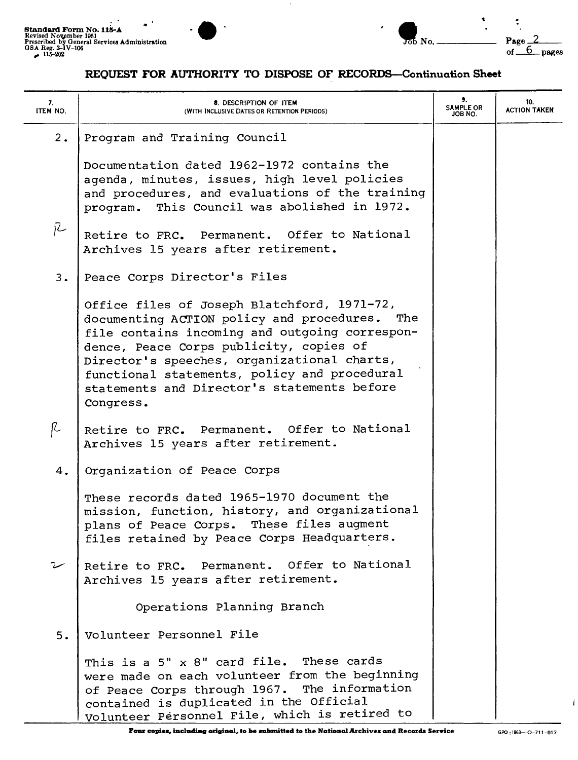

 $\ddot{\cdot}$ 

### REQUEST FOR AUTHORITY TO DISPOSE OF RECORDS-Continuation Sheet

| 7.<br>ITEM NO. | 8. DESCRIPTION OF ITEM<br>(WITH INCLUSIVE DATES OR RETENTION PERIODS)                                                                                                                                                                                                                                                                                   | 9.<br><b>SAMPLE OR</b><br>JOB NO. | 10.<br><b>ACTION TAKEN</b> |
|----------------|---------------------------------------------------------------------------------------------------------------------------------------------------------------------------------------------------------------------------------------------------------------------------------------------------------------------------------------------------------|-----------------------------------|----------------------------|
| 2.             | Program and Training Council                                                                                                                                                                                                                                                                                                                            |                                   |                            |
|                | Documentation dated 1962-1972 contains the<br>agenda, minutes, issues, high level policies<br>and procedures, and evaluations of the training<br>program. This Council was abolished in 1972.                                                                                                                                                           |                                   |                            |
| jZ             | Retire to FRC. Permanent. Offer to National<br>Archives 15 years after retirement.                                                                                                                                                                                                                                                                      |                                   |                            |
| 3.             | Peace Corps Director's Files                                                                                                                                                                                                                                                                                                                            |                                   |                            |
|                | Office files of Joseph Blatchford, 1971-72,<br>documenting ACTION policy and procedures.<br>The<br>file contains incoming and outgoing correspon-<br>dence, Peace Corps publicity, copies of<br>Director's speeches, organizational charts,<br>functional statements, policy and procedural<br>statements and Director's statements before<br>Congress. |                                   |                            |
| R              | Retire to FRC. Permanent. Offer to National<br>Archives 15 years after retirement.                                                                                                                                                                                                                                                                      |                                   |                            |
| 4.             | Organization of Peace Corps                                                                                                                                                                                                                                                                                                                             |                                   |                            |
|                | These records dated 1965-1970 document the<br>mission, function, history, and organizational<br>plans of Peace Corps. These files augment<br>files retained by Peace Corps Headquarters.                                                                                                                                                                |                                   |                            |
|                | Retire to FRC. Permanent. Offer to National<br>Archives 15 years after retirement.                                                                                                                                                                                                                                                                      |                                   |                            |
|                | Operations Planning Branch                                                                                                                                                                                                                                                                                                                              |                                   |                            |
| 5.             | Volunteer Personnel File                                                                                                                                                                                                                                                                                                                                |                                   |                            |
|                | This is a 5" x 8" card file. These cards<br>were made on each volunteer from the beginning<br>of Peace Corps through 1967. The information<br>contained is duplicated in the Official<br>Volunteer Personnel File, which is retired to                                                                                                                  |                                   |                            |

 $\mathbf{I}$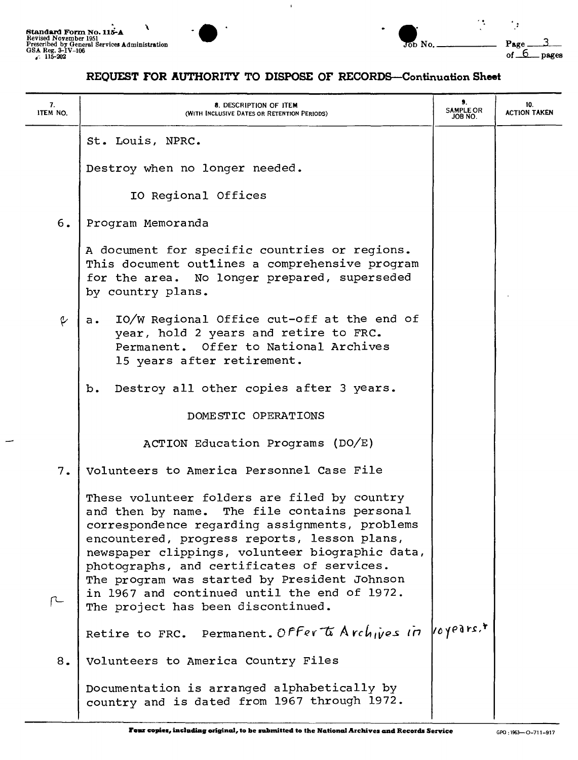

| andard Form No. 115-A                                                                               |  |             |                        |       |
|-----------------------------------------------------------------------------------------------------|--|-------------|------------------------|-------|
| vised November 1951<br>scribed by General Services Administration<br>A Reg. 3-IV-106<br>$115 - 202$ |  | No.<br>rn n | $P_{\bf R}$ <i>d</i> e | pages |

# REQUEST FOR AUTHORITY TO DISPOSE OF RECORDS-Continuation Sheet

 $\mathbf{r}$ 

| 7.<br>ITEM NO. | 8. DESCRIPTION OF ITEM<br>(WITH INCLUSIVE DATES OR RETENTION PERIODS)                                                                                                                                                                                                                                                                                                                                                                    | 9.<br><b>SAMPLE OR</b><br>JOB NO. | 10.<br><b>ACTION TAKEN</b> |
|----------------|------------------------------------------------------------------------------------------------------------------------------------------------------------------------------------------------------------------------------------------------------------------------------------------------------------------------------------------------------------------------------------------------------------------------------------------|-----------------------------------|----------------------------|
|                | St. Louis, NPRC.                                                                                                                                                                                                                                                                                                                                                                                                                         |                                   |                            |
|                | Destroy when no longer needed.                                                                                                                                                                                                                                                                                                                                                                                                           |                                   |                            |
|                | IO Regional Offices                                                                                                                                                                                                                                                                                                                                                                                                                      |                                   |                            |
| 6.             | Program Memoranda                                                                                                                                                                                                                                                                                                                                                                                                                        |                                   |                            |
|                | A document for specific countries or regions.<br>This document outlines a comprehensive program<br>for the area. No longer prepared, superseded<br>by country plans.                                                                                                                                                                                                                                                                     |                                   |                            |
| e              | IO/W Regional Office cut-off at the end of<br>a.<br>year, hold 2 years and retire to FRC.<br>Permanent. Offer to National Archives<br>15 years after retirement.                                                                                                                                                                                                                                                                         |                                   |                            |
|                | Destroy all other copies after 3 years.<br>b.                                                                                                                                                                                                                                                                                                                                                                                            |                                   |                            |
|                | DOMESTIC OPERATIONS                                                                                                                                                                                                                                                                                                                                                                                                                      |                                   |                            |
|                | ACTION Education Programs (DO/E)                                                                                                                                                                                                                                                                                                                                                                                                         |                                   |                            |
| 7.             | Volunteers to America Personnel Case File                                                                                                                                                                                                                                                                                                                                                                                                |                                   |                            |
|                | These volunteer folders are filed by country<br>The file contains personal<br>and then by name.<br>correspondence regarding assignments, problems<br>encountered, progress reports, lesson plans,<br>newspaper clippings, volunteer biographic data,<br>photographs, and certificates of services.<br>The program was started by President Johnson<br>in 1967 and continued until the end of 1972.<br>The project has been discontinued. |                                   |                            |
|                | Retire to FRC. Permanent. Offer to Archives in voyedrs,*                                                                                                                                                                                                                                                                                                                                                                                 |                                   |                            |
| 8.             | Volunteers to America Country Files                                                                                                                                                                                                                                                                                                                                                                                                      |                                   |                            |
|                | Documentation is arranged alphabetically by<br>country and is dated from 1967 through 1972.                                                                                                                                                                                                                                                                                                                                              |                                   |                            |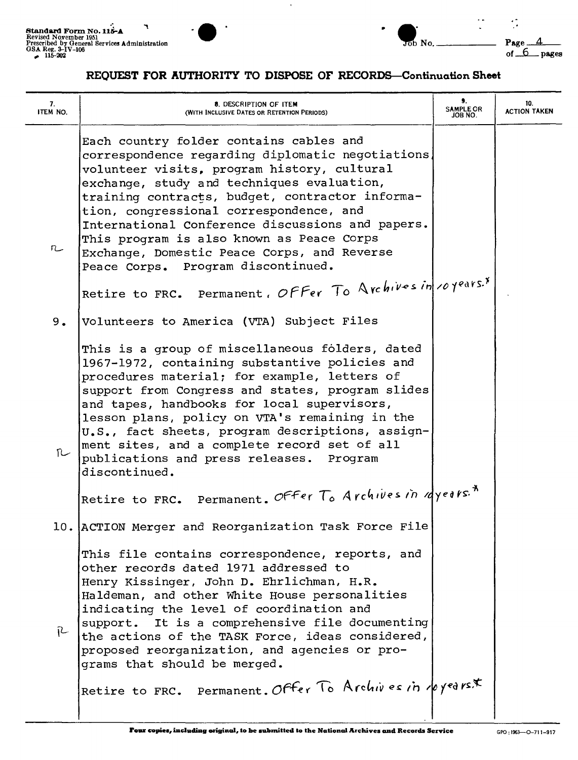

## REQUEST FOR AUTHORITY TO DISPOSE OF RECORDS-Continuation Sheet

| 7.<br>ITEM NO. | 8. DESCRIPTION OF ITEM<br>(WITH INCLUSIVE DATES OR RETENTION PERIODS)                                                                                                                                                                                                                                                                                                                                                                                                         | 9.<br><b>SAMPLE OR</b><br>JOB NO. | 10.<br><b>ACTION TAKEN</b> |
|----------------|-------------------------------------------------------------------------------------------------------------------------------------------------------------------------------------------------------------------------------------------------------------------------------------------------------------------------------------------------------------------------------------------------------------------------------------------------------------------------------|-----------------------------------|----------------------------|
| n              | Each country folder contains cables and<br>correspondence regarding diplomatic negotiations,<br>volunteer visits, program history, cultural<br>exchange, study and techniques evaluation,<br>training contracts, budget, contractor informa-<br>tion, congressional correspondence, and<br>International Conference discussions and papers.<br>This program is also known as Peace Corps<br>Exchange, Domestic Peace Corps, and Reverse<br>Peace Corps. Program discontinued. |                                   |                            |
|                | Retire to FRC. Permanent, Offer To Archives in 10 years.*                                                                                                                                                                                                                                                                                                                                                                                                                     |                                   |                            |
| 9.             | Volunteers to America (VTA) Subject Files                                                                                                                                                                                                                                                                                                                                                                                                                                     |                                   |                            |
| n              | This is a group of miscellaneous folders, dated<br>1967-1972, containing substantive policies and<br>procedures material; for example, letters of<br>support from Congress and states, program slides<br>and tapes, handbooks for local supervisors,<br>lesson plans, policy on VTA's remaining in the<br>U.S., fact sheets, program descriptions, assign-<br>ment sites, and a complete record set of all<br>publications and press releases. Program<br>discontinued.       |                                   |                            |
|                | Retire to FRC. Permanent. Offer To Archives in ayears. <sup>*</sup>                                                                                                                                                                                                                                                                                                                                                                                                           |                                   |                            |
|                | 10. ACTION Merger and Reorganization Task Force File                                                                                                                                                                                                                                                                                                                                                                                                                          |                                   |                            |
| R              | This file contains correspondence, reports, and<br>other records dated 1971 addressed to<br>Henry Kissinger, John D. Ehrlichman, H.R.<br>Haldeman, and other White House personalities<br>indicating the level of coordination and<br>support. It is a comprehensive file documenting<br>the actions of the TASK Force, ideas considered,<br>proposed reorganization, and agencies or pro-<br>grams that should be merged.                                                    |                                   |                            |
|                | Retire to FRC. Permanent. Offer To Archives in royed rs*                                                                                                                                                                                                                                                                                                                                                                                                                      |                                   |                            |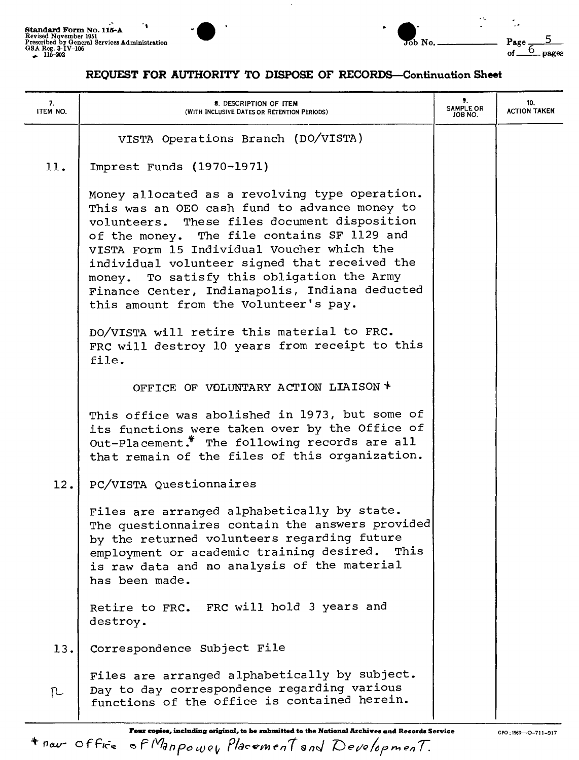



### REOUEST FOR AUTHORITY TO DISPOSE OF RECORDS-Continuation Sheet

| 7.<br>ITEM NO. | 8. DESCRIPTION OF ITEM<br>(WITH INCLUSIVE DATES OR RETENTION PERIODS)                                                                                                                                                                                                                                                                                                                                                                  | 9.<br>SAMPLE OR<br>JOB NO. | 10.<br><b>ACTION TAKEN</b> |
|----------------|----------------------------------------------------------------------------------------------------------------------------------------------------------------------------------------------------------------------------------------------------------------------------------------------------------------------------------------------------------------------------------------------------------------------------------------|----------------------------|----------------------------|
|                | VISTA Operations Branch (DO/VISTA)                                                                                                                                                                                                                                                                                                                                                                                                     |                            |                            |
| 11.            | Imprest Funds (1970-1971)                                                                                                                                                                                                                                                                                                                                                                                                              |                            |                            |
|                | Money allocated as a revolving type operation.<br>This was an OEO cash fund to advance money to<br>volunteers. These files document disposition<br>of the money. The file contains SF 1129 and<br>VISTA Form 15 Individual Voucher which the<br>individual volunteer signed that received the<br>money. To satisfy this obligation the Army<br>Finance Center, Indianapolis, Indiana deducted<br>this amount from the Volunteer's pay. |                            |                            |
|                | DO/VISTA will retire this material to FRC.<br>FRC will destroy 10 years from receipt to this<br>file.                                                                                                                                                                                                                                                                                                                                  |                            |                            |
|                | OFFICE OF VOLUNTARY ACTION LIAISON *                                                                                                                                                                                                                                                                                                                                                                                                   |                            |                            |
|                | This office was abolished in 1973, but some of<br>its functions were taken over by the Office of<br>Out-Placement.* The following records are all<br>that remain of the files of this organization.                                                                                                                                                                                                                                    |                            |                            |
| 12.            | PC/VISTA Questionnaires                                                                                                                                                                                                                                                                                                                                                                                                                |                            |                            |
|                | Files are arranged alphabetically by state.<br>The questionnaires contain the answers provided<br>by the returned volunteers regarding future<br>employment or academic training desired. This<br>is raw data and no analysis of the material<br>has been made.                                                                                                                                                                        |                            |                            |
|                | Retire to FRC. FRC will hold 3 years and<br>destroy.                                                                                                                                                                                                                                                                                                                                                                                   |                            |                            |
| 13.            | Correspondence Subject File                                                                                                                                                                                                                                                                                                                                                                                                            |                            |                            |
| ΓL             | Files are arranged alphabetically by subject.<br>Day to day correspondence regarding various<br>functions of the office is contained herein.                                                                                                                                                                                                                                                                                           |                            |                            |

Four copies, including original, to be submitted to the National Archives and Records Service *<sup>+</sup>new-* <sup>0</sup> <sup>f</sup> F,c=" <sup>e</sup> *<sup>F</sup> rVfd <sup>n</sup> fO 'v e" PlaC<r?f'lH'n* 1*<sup>Q</sup> nJ De(/Q ~r* n-. *en <sup>T</sup>*